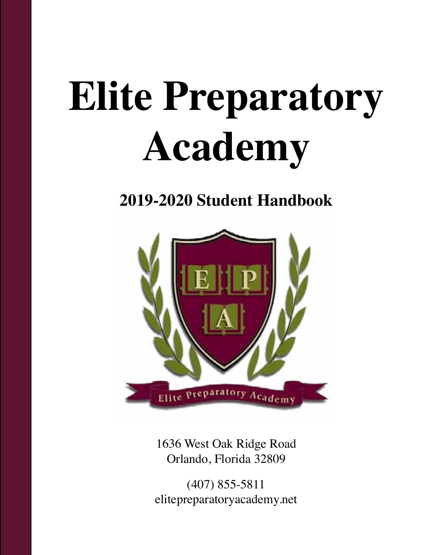# **Elite Preparatory Academy**

## **2019-2020 Student Handbook**



1636 West Oak Ridge Road Orlando, Florida 32809

(407) 855-5811 elitepreparatoryacademy.net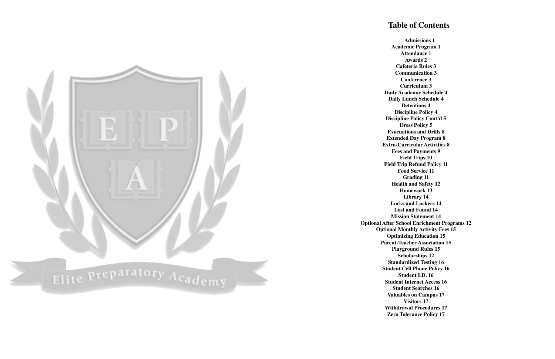### **Table of Contents**



**Admissions 1 Academic Program 1 Attendance 1 Awards 2 Cafeteria Rules 3 Communication 3 Conference 3 Curriculum 3 Daily Academic Schedule 4 Daily Lunch Schedule 4 Detentions 4 Discipline Policy 4 Discipline Policy Cont'd 5 Dress Policy 5 Evacuations and Drills 8 Extended Day Program 8 Extra-Curricular Activities 8 Fees and Payments 9 Field Trips 10 Field Trip Refund Policy 11 Food Service 11 Grading 11 Health and Safety 12 Homework 13 Library 14 Locks and Lockers 14 Lost and Found 14 Mission Statement 14 Optional After School Enrichment Programs 12 Optional Monthly Activity Fees 15 Optimizing Education 15 Parent-Teacher Association 15 Playground Rules 15 Scholarships 12 Standardized Testing 16 Student Cell Phone Policy 16 Student I.D. 16 Student Internet Access 16 Student Searches 16 Valuables on Campus 17 Visitors 17 Withdrawal Procedures 17 Zero Tolerance Policy 17**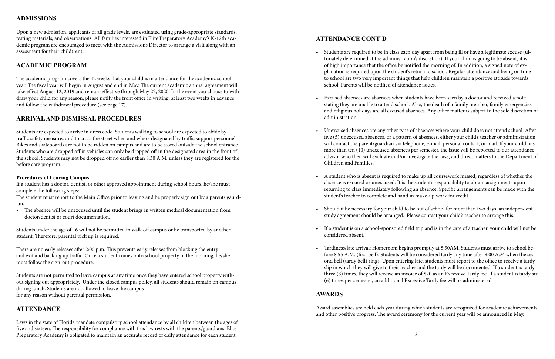### **ADMISSIONS**

Upon a new admission, applicants of all grade levels, are evaluated using grade-appropriate standards, testing materials, and observations. All families interested in Elite Preparatory Academy's K-12th academic program are encouraged to meet with the Admissions Director to arrange a visit along with an assessment for their child(ren).

#### **ACADEMIC PROGRAM**

The academic program covers the 42 weeks that your child is in attendance for the academic school year. The fiscal year will begin in August and end in May. The current academic annual agreement will take effect August 12, 2019 and remain effective through May 22, 2020. In the event you choose to withdraw your child for any reason, please notify the front office in writing, at least two weeks in advance and follow the withdrawal procedure (see page 17).

#### **ARRIVAL AND DISMISSAL PROCEDURES**

Students are expected to arrive in dress code. Students walking to school are expected to abide by traffic safety measures and to cross the street when and where designated by traffic support personnel. Bikes and skateboards are not to be ridden on campus and are to be stored outside the school entrance. Students who are dropped off in vehicles can only be dropped off in the designated area in the front of the school. Students may not be dropped off no earlier than 8:30 A.M. unless they are registered for the before care program.

Laws in the state of Florida mandate compulsory school attendance by all children between the ages of five and sixteen. The responsibility for compliance with this law rests with the parents/guardians. Elite Preparatory Academy is obligated to maintain an accurate record of daily attendance for each student.  $\qquad \qquad \qquad \qquad 2$ 

#### **Procedures of Leaving Campus**

If a student has a doctor, dentist, or other approved appointment during school hours, he/she must complete the following steps:

The student must report to the Main Office prior to leaving and be properly sign out by a parent/ gaurdian.

• The absence will be unexcused until the student brings in written medical documentation from doctor/dentist or court documentation.

Students under the age of 16 will not be permitted to walk off campus or be transported by another student. Therefore, parental pick up is required.

There are no early releases after 2:00 p.m. This prevents early releases from blocking the entry and exit and backing up traffic. Once a student comes onto school property in the morning, he/she must follow the sign-out procedure.

Students are not permitted to leave campus at any time once they have entered school property without signing out appropriately. Under the closed campus policy, all students should remain on campus during lunch. Students are not allowed to leave the campus for any reason without parental permission.

#### **ATTENDANCE**

### **ATTENDANCE CONT'D**

• Students are required to be in class each day apart from being ill or have a legitimate excuse (ultimately determined at the administration's discretion). If your child is going to be absent, it is of high importance that the office be notified the morning of. In addition, a signed note of explanation is required upon the student's return to school. Regular attendance and being on time to school are two very important things that help children maintain a positive attitude towards

• Excused absences are absences when students have been seen by a doctor and received a note stating they are unable to attend school. Also, the death of a family member, family emergencies, and religious holidays are all excused absences. Any other matter is subject to the sole discretion of

• Unexcused absences are any other type of absences where your child does not attend school. After five (5) unexcused absences, or a pattern of absences, either your child's teacher or administration will contact the parent/guardian via telephone, e-mail, personal contact, or mail. If your child has more than ten (10) unexcused absences per semester, the issue will be reported to our attendance advisor who then will evaluate and/or investigate the case, and direct matters to the Department of

• A student who is absent is required to make up all coursework missed, regardless of whether the absence is excused or unexcused. It is the student's responsibility to obtain assignments upon returning to class immediately following an absence. Specific arrangements can be made with the

- school. Parents will be notified of attendance issues.
- administration.
- Children and Families.
- student's teacher to complete and hand in make-up work for credit.
- 
- considered absent.
- (6) times per semester, an additional Excessive Tardy fee will be administered.

• Should it be necessary for your child to be out of school for more than two days, an independent study agreement should be arranged. Please contact your child's teacher to arrange this.

• If a student is on a school-sponsored field trip and is in the care of a teacher, your child will not be

• Tardiness/late arrival: Homeroom begins promptly at 8:30AM. Students must arrive to school before 8:55 A.M. (first bell). Students will be considered tardy any time after 9:00 A.M when the second bell (tardy bell) rings. Upon entering late, students must report to the office to receive a tardy slip in which they will give to their teacher and the tardy will be documented. If a student is tardy three (3) times, they will receive an invoice of \$20 as an Excessive Tardy fee. If a student is tardy six

### **AWARDS**

Award assemblies are held each year during which students are recognized for academic achievements and other positive progress. The award ceremony for the current year will be announced in May.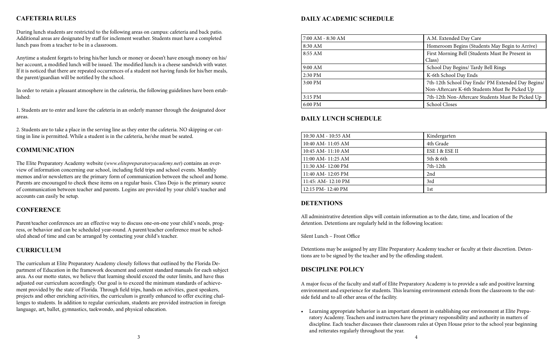#### **DAILY ACADEMIC SCHEDULE**

| 7:00 AM - 8:30 AM | A.M. Extended Day Care                                                                              |
|-------------------|-----------------------------------------------------------------------------------------------------|
| 8:30 AM           | Homeroom Begins (Students May Begin to Arrive)                                                      |
| 8:55 AM           | First Morning Bell (Students Must Be Present in<br>Class)                                           |
| 9:00 AM           | School Day Begins/ Tardy Bell Rings                                                                 |
| 2:30 PM           | K-6th School Day Ends                                                                               |
| 3:00 PM           | 7th-12th School Day Ends/ PM Extended Day Begins/<br>Non-Aftercare K-6th Students Must Be Picked Up |
| 3:15 PM           | 7th-12th Non-Aftercare Students Must Be Picked Up                                                   |
| 6:00 PM           | <b>School Closes</b>                                                                                |

#### **DAILY LUNCH SCHEDULE**

| 10:30 AM - 10:55 AM | Kindergarten   |
|---------------------|----------------|
| 10:40 AM-11:05 AM   | 4th Grade      |
| 10:45 AM-11:10 AM   | ESE I & ESE II |
| 11:00 AM-11:25 AM   | 5th & 6th      |
| 11:30 AM-12:00 PM   | $7th-12th$     |
| 11:40 AM-12:05 PM   | 2nd            |
| 11:45: AM-12:10 PM  | 3rd            |
| 12:15 PM-12:40 PM   | 1st            |

#### **DETENTIONS**

All administrative detention slips will contain information as to the date, time, and location of the detention. Detentions are regularly held in the following location:

Silent Lunch – Front Office

Detentions may be assigned by any Elite Preparatory Academy teacher or faculty at their discretion. Detentions are to be signed by the teacher and by the offending student.

#### **DISCIPLINE POLICY**

A major focus of the faculty and staff of Elite Preparatory Academy is to provide a safe and positive learning environment and experience for students. This learning environment extends from the classroom to the outside field and to all other areas of the facility.

• Learning appropriate behavior is an important element in establishing our environment at Elite Preparatory Academy. Teachers and instructors have the primary responsibility and authority in matters of discipline. Each teacher discusses their classroom rules at Open House prior to the school year beginning

and reiterates regularly throughout the year.

#### **CAFETERIA RULES**

During lunch students are restricted to the following areas on campus: cafeteria and back patio. Additional areas are designated by staff for inclement weather. Students must have a completed lunch pass from a teacher to be in a classroom.

Anytime a student forgets to bring his/her lunch or money or doesn't have enough money on his/ her account, a modified lunch will be issued. The modified lunch is a cheese sandwich with water. If it is noticed that there are repeated occurrences of a student not having funds for his/her meals, the parent/guardian will be notified by the school.

In order to retain a pleasant atmosphere in the cafeteria, the following guidelines have been established:

1. Students are to enter and leave the cafeteria in an orderly manner through the designated door areas.

2. Students are to take a place in the serving line as they enter the cafeteria. NO skipping or cutting in line is permitted. While a student is in the cafeteria, he/she must be seated.

#### **COMMUNICATION**

The Elite Preparatory Academy website (*www.elitepreparatoryacademy.net*) contains an overview of information concerning our school, including field trips and school events. Monthly memos and/or newsletters are the primary form of communication between the school and home. Parents are encouraged to check these items on a regular basis. Class Dojo is the primary source of communication between teacher and parents. Logins are provided by your child's teacher and accounts can easily be setup.

#### **CONFERENCE**

Parent/teacher conferences are an effective way to discuss one-on-one your child's needs, progress, or behavior and can be scheduled year-round. A parent/teacher conference must be scheduled ahead of time and can be arranged by contacting your child's teacher.

#### **CURRICULUM**

The curriculum at Elite Preparatory Academy closely follows that outlined by the Florida Department of Education in the framework document and content standard manuals for each subject area. As our motto states, we believe that learning should exceed the outer limits, and have thus adjusted our curriculum accordingly. Our goal is to exceed the minimum standards of achievement provided by the state of Florida. Through field trips, hands on activities, guest speakers, projects and other enriching activities, the curriculum is greatly enhanced to offer exciting challenges to students. In addition to regular curriculum, students are provided instruction in foreign language, art, ballet, gymnastics, taekwondo, and physical education.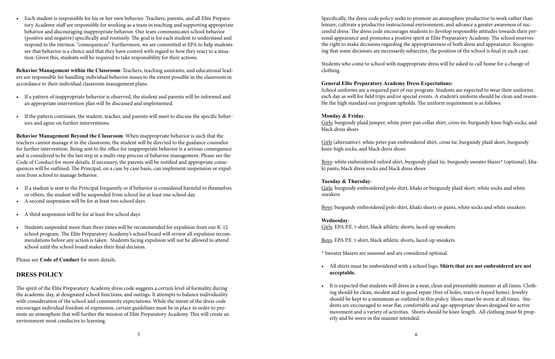Specifically, the dress code policy seeks to promote an atmosphere productive to work rather than leisure, cultivate a productive instructional environment, and advance a greater awareness of successful dress. The dress code encourages students to develop responsible attitudes towards their personal appearance and promotes a positive spirit at Elite Preparatory Academy. The school reserves the right to make decisions regarding the appropriateness of both dress and appearance. Recognizing that some decisions are necessarily subjective, the position of the school is final in each case.

Students who come to school with inappropriate dress will be asked to call home for a change of clothing.

#### **General Elite Preparatory Academy Dress Expectations:**

Girls: burgundy embroidered polo shirt, khaki or burgundy plaid skort, white socks and white sneakers

School uniforms are a required part of our program. Students are expected to wear their uniforms each day as well for field trips and/or special events. A student's uniform should be clean and resemble the high standard our program upholds. The uniform requirement is as follows:

#### **Monday & Friday**:

Girls: burgundy plaid jumper, white peter pan collar shirt, cross tie, burgundy knee-high socks, and black dress shoes

Girls (alternative): white peter pan embroidered shirt, cross tie, burgundy plaid skort, burgundy knee-high socks, and black dress shoes

Boys: white embroidered oxford shirt, burgundy plaid tie, burgundy sweater blazer\* (optional), khaki pants, black dress socks and black dress shoes

#### **Tuesday & Thursday**:

Boys: burgundy embroidered polo shirt, khaki shorts or pants, white socks and white sneakers

#### **Wednesday**:

Girls: EPA P.E. t-shirt, black athletic shorts, laced-up sneakers

Boys: EPA P.E. t-shirt, black athletic shorts, laced-up sneakers

\* Sweater blazers are seasonal and are considered optional.

• All shirts must be embroidered with a school logo. **Shirts that are not embroidered are not** 

• It is expected that students will dress in a neat, clean and presentable manner at all times. Clothing should be clean, modest and in good repair (free of holes, tears or frayed hems). Jewelry should be kept to a minimum as outlined in this policy. Shoes must be worn at all times. Students are encouraged to wear flat, comfortable and age-appropriate shoes designed for active movement and a variety of activities. Shorts should be knee-length. All clothing must fit prop-

- **acceptable.**
- erly and be worn in the manner intended.

• Each student is responsible for his or her own behavior. Teachers, parents, and all Elite Preparatory Academy staff are responsible for working as a team in teaching and supporting appropriate behavior and discouraging inappropriate behavior. Our team communicates school behavior (positive and negative) specifically and routinely. The goal is for each student to understand and respond to the intrinsic "consequences". Furthermore, we are committed at EPA to help students see that behavior is a choice and that they have control with regard to how they react to a situation. Given this, students will be required to take responsibility for their actions.

**Behavior Management within the Classroom**: Teachers, teaching assistants, and educational leaders are responsible for handling individual behavior issues to the extent possible in the classroom in accordance to their individual classroom management plans.

- If a pattern of inappropriate behavior is observed, the student and parents will be informed and an appropriate intervention plan will be discussed and implemented.
- If the pattern continues, the student, teacher, and parents will meet to discuss the specific behaviors and agree on further interventions.

**Behavior Management Beyond the Classroom**: When inappropriate behavior is such that the teachers cannot manage it in the classroom, the student will be directed to the guidance counselor for further intervention. Being sent to the office for inappropriate behavior is a serious consequence and is considered to be the last step in a multi-step process of behavior management. Please see the Code of Conduct for more details. If necessary, the parents will be notified and appropriate consequences will be outlined. The Principal, on a case by case basis, can implement suspension or expulsion from school to manage behavior.

- If a student is sent to the Principal frequently or if behavior is considered harmful to themselves or others, the student will be suspended from school for at least one school day
- A second suspension will be for at least two school days
- A third suspension will be for at least five school days
- Students suspended more than three times will be recommended for expulsion from our K-12 school program. The Elite Preparatory Academy's school board will review all expulsion recommendations before any action is taken. Students facing expulsion will not be allowed to attend school until the school board makes their final decision.

Please see **Code of Conduct** for more details.

#### **DRESS POLICY**

The spirit of the Elite Preparatory Academy dress code suggests a certain level of formality during the academic day, at designated school functions, and outings. It attempts to balance individuality with consideration of the school and community expectations. While the intent of the dress code encourages individual freedom of expression, certain guidelines must be in place in order to promote an atmosphere that will further the mission of Elite Preparatory Academy. This will create an environment most conducive to learning.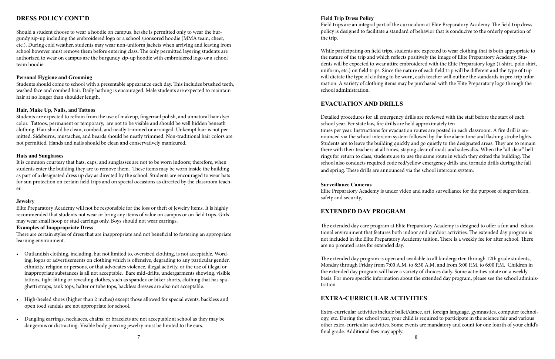#### **Field Trip Dress Policy**

Field trips are an integral part of the curriculum at Elite Preparatory Academy. The field trip dress policy is designed to facilitate a standard of behavior that is conducive to the orderly operation of the trip.

While participating on field trips, students are expected to wear clothing that is both appropriate to the nature of the trip and which reflects positively the image of Elite Preparatory Academy. Students will be expected to wear attire embroidered with the Elite Preparatory logo (t-shirt, polo shirt, uniform, etc.) on field trips. Since the nature of each field trip will be different and the type of trip will dictate the type of clothing to be worn, each teacher will outline the standards in pre-trip information. A variety of clothing items may be purchased with the Elite Preparatory logo through the school administration.

#### **EVACUATION AND DRILLS**

Detailed procedures for all emergency drills are reviewed with the staff before the start of each school year. Per state law, fire drills are held approximately ten times per year. Instructions for evacuation routes are posted in each classroom. A fire drill is announced via the school intercom system followed by the fire alarm tone and flashing strobe lights. Students are to leave the building quickly and go quietly to the designated areas. They are to remain there with their teachers at all times, staying clear of roads and sidewalks. When the "all clear" bell rings for return to class, students are to use the same route in which they exited the building. The school also conducts required code red/yellow emergency drills and tornado drills during the fall and spring. These drills are announced via the school intercom system.

#### **Surveillance Cameras**

Elite Preparatory Academy is under video and audio surveillance for the purpose of supervision, safety and security,

### **EXTENDED DAY PROGRAM**

The extended day care program at Elite Preparatory Academy is designed to offer a fun and educational environment that features both indoor and outdoor activities. The extended day program is not included in the Elite Preparatory Academy tuition. There is a weekly fee for after school. There are no prorated rates for extended day.

The extended day program is open and available to all kindergarten through 12th grade students, Monday through Friday from 7:00 A.M. to 8:30 A.M. and from 3:00 P.M. to 6:00 P.M. Children in the extended day program will have a variety of choices daily. Some activities rotate on a weekly basis. For more specific information about the extended day program, please see the school administration.

#### **EXTRA-CURRICULAR ACTIVITIES**

Extra-curricular activities include ballet/dance, art, foreign language, gymnastics, computer technology, etc. During the school year, your child is required to participate in the science fair and various other extra-curricular activities. Some events are mandatory and count for one fourth of your child's final grade. Additional fees may apply.

### **DRESS POLICY CONT'D**

Should a student choose to wear a hoodie on campus, he/she is permitted only to wear the burgundy zip-up including the embroidered logo or a school sponsored hoodie (MMA team, cheer, etc.). During cold weather, students may wear non-uniform jackets when arriving and leaving from school however must remove them before entering class. The only permitted layering students are authorized to wear on campus are the burgundy zip-up hoodie with embroidered logo or a school team hoodie.

#### **Personal Hygiene and Grooming**

Students should come to school with a presentable appearance each day. This includes brushed teeth, washed face and combed hair. Daily bathing is encouraged. Male students are expected to maintain hair at no longer than shoulder length.

#### **Hair, Make Up, Nails, and Tattoos**

Students are expected to refrain from the use of makeup, fingernail polish, and unnatural hair dye/ color. Tattoos, permanent or temporary, are not to be visible and should be well hidden beneath clothing. Hair should be clean, combed, and neatly trimmed or arranged. Unkempt hair is not permitted. Sideburns, mustaches, and beards should be neatly trimmed. Non-traditional hair colors are not permitted. Hands and nails should be clean and conservatively manicured.

#### **Hats and Sunglasses**

It is common courtesy that hats, caps, and sunglasses are not to be worn indoors; therefore, when students enter the building they are to remove them. These items may be worn inside the building as part of a designated dress up day as directed by the school. Students are encouraged to wear hats for sun protection on certain field trips and on special occasions as directed by the classroom teacher.

#### **Jewelry**

Elite Preparatory Academy will not be responsible for the loss or theft of jewelry items. It is highly recommended that students not wear or bring any items of value on campus or on field trips. Girls may wear small hoop or stud earrings only. Boys should not wear earrings.

#### **Examples of Inappropriate Dress**

There are certain styles of dress that are inappropriate and not beneficial to fostering an appropriate learning environment.

- Outlandish clothing, including, but not limited to, oversized clothing, is not acceptable. Wording, logos or advertisements on clothing which is offensive, degrading to any particular gender, ethnicity, religion or persons, or that advocates violence, illegal activity, or the use of illegal or inappropriate substances is all not acceptable. Bare mid-drifts, undergarments showing, visible tattoos, tight fitting or revealing clothes, such as spandex or biker shorts, clothing that has spaghetti straps, tank tops, halter or tube tops, backless dresses are also not acceptable.
- High-heeled shoes (higher than 2 inches) except those allowed for special events, backless and open toed sandals are not appropriate for school.
- Dangling earrings, necklaces, chains, or bracelets are not acceptable at school as they may be dangerous or distracting. Visible body piercing jewelry must be limited to the ears.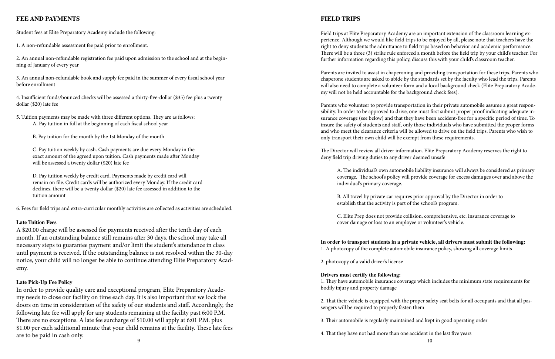#### **FIELD TRIPS**

Field trips at Elite Preparatory Academy are an important extension of the classroom learning experience. Although we would like field trips to be enjoyed by all, please note that teachers have the right to deny students the admittance to field trips based on behavior and academic performance. There will be a three (3) strike rule enforced a month before the field trip by your child's teacher. For further information regarding this policy, discuss this with your child's classroom teacher.

Parents are invited to assist in chaperoning and providing transportation for these trips. Parents who chaperone students are asked to abide by the standards set by the faculty who lead the trips. Parents will also need to complete a volunteer form and a local background check (Elite Preparatory Academy will not be held accountable for the background check fees).

Parents who volunteer to provide transportation in their private automobile assume a great responsibility. In order to be approved to drive, one must first submit proper proof indicating adequate insurance coverage (see below) and that they have been accident-free for a specific period of time. To insure the safety of students and staff, only those individuals who have submitted the proper forms and who meet the clearance criteria will be allowed to drive on the field trips. Parents who wish to only transport their own child will be exempt from these requirements.

The Director will review all driver information. Elite Preparatory Academy reserves the right to deny field trip driving duties to any driver deemed unsafe

A. The individual's own automobile liability insurance will always be considered as primary coverage. The school's policy will provide coverage for excess dama ges over and above the individual's primary coverage.

B. All travel by private car requires prior approval by the Director in order to establish that the activity is part of the school's program.

C. Elite Prep does not provide collision, comprehensive, etc. insurance coverage to cover damage or loss to an employee or volunteer's vehicle.

**In order to transport students in a private vehicle, all drivers must submit the following:** 1. A photocopy of the complete automobile insurance policy, showing all coverage limits

In order to provide quality care and exceptional program, Elite Preparatory Academy needs to close our facility on time each day. It is also important that we lock the doors on time in consideration of the safety of our students and staff. Accordingly, the following late fee will apply for any students remaining at the facility past 6:00 P.M. There are no exceptions. A late fee surcharge of \$10.00 will apply at 6:01 P.M. plus \$1.00 per each additional minute that your child remains at the facility. These late fees are to be paid in cash only. That they have not had more than one accident in the paid in cash only.

2. photocopy of a valid driver's license

#### **Drivers must certify the following:**

1. They have automobile insurance coverage which includes the minimum state requirements for bodily injury and property damage

2. That their vehicle is equipped with the proper safety seat belts for all occupants and that all passengers will be required to properly fasten them

3. Their automobile is regularly maintained and kept in good operating order

4. That they have not had more than one accident in the last five years

### **FEE AND PAYMENTS**

Student fees at Elite Preparatory Academy include the following:

1. A non-refundable assessment fee paid prior to enrollment.

2. An annual non-refundable registration fee paid upon admission to the school and at the beginning of January of every year

3. An annual non-refundable book and supply fee paid in the summer of every fiscal school year before enrollment

4. Insufficient funds/bounced checks will be assessed a thirty-five-dollar (\$35) fee plus a twenty dollar (\$20) late fee

5. Tuition payments may be made with three different options. They are as follows: A. Pay tuition in full at the beginning of each fiscal school year

B. Pay tuition for the month by the 1st Monday of the month

C. Pay tuition weekly by cash. Cash payments are due every Monday in the exact amount of the agreed upon tuition. Cash payments made after Monday will be assessed a twenty dollar (\$20) late fee

D. Pay tuition weekly by credit card. Payments made by credit card will remain on file. Credit cards will be authorized every Monday. If the credit card declines, there will be a twenty dollar (\$20) late fee assessed in addition to the tuition amount

6. Fees for field trips and extra-curricular monthly activities are collected as activities are scheduled.

#### **Late Tuition Fees**

A \$20.00 charge will be assessed for payments received after the tenth day of each month. If an outstanding balance still remains after 30 days, the school may take all necessary steps to guarantee payment and/or limit the student's attendance in class until payment is received. If the outstanding balance is not resolved within the 30-day notice, your child will no longer be able to continue attending Elite Preparatory Academy.

#### **Late Pick-Up Fee Policy**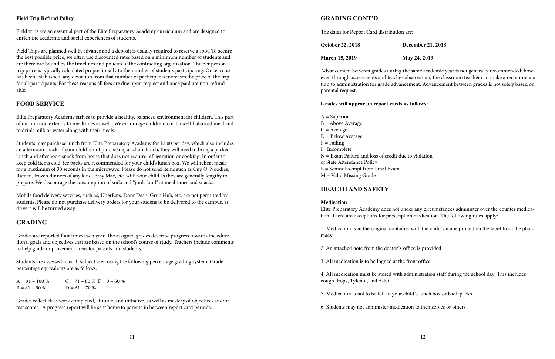#### **GRADING CONT'D**

The dates for Report Card distribution are:

| <b>October 22, 2018</b> | <b>December 21, 2018</b> |
|-------------------------|--------------------------|
| <b>March 15, 2019</b>   | May 24, 2019             |

Advancement between grades during the same academic year is not generally recommended; however, through assessments and teacher observation, the classroom teacher can make a recommendation to administration for grade advancement. Advancement between grades is not solely based on parental request.

#### **Grades will appear on report cards as follows:**

 $A =$ Superior  $B =$  Above Average  $C = Average$  $D =$  Below Average  $F =$ Failing I= Incomplete N = Exam Failure and loss of credit due to violation of State Attendance Policy  $E =$  Senior Exempt from Final Exam  $M =$  Valid Missing Grade

#### **HEALTH AND SAFETY**

#### **Medication**

Elite Preparatory Academy does not under any circumstances administer over the counter medication. There are exceptions for prescription medication. The following rules apply:

1. Medication is in the original container with the child's name printed on the label from the pharmacy

2. An attached note from the doctor's office is provided

3. All medication is to be logged at the front office

4. All medication must be stored with administration staff during the school day. This includes cough drops, Tylenol, and Advil

5. Medication is not to be left in your child's lunch box or back packs

6. Students may not administer medication to themselves or others

#### **Field Trip Refund Policy**

Field trips are an essential part of the Elite Preparatory Academy curriculum and are designed to enrich the academic and social experiences of students.

Field Trips are planned well in advance and a deposit is usually required to reserve a spot. To secure the best possible price, we often use discounted rates based on a minimum number of students and are therefore bound by the timelines and policies of the contracting organization. The per person trip price is typically calculated proportionally to the number of students participating. Once a cost has been established, any deviation from that number of participants increases the price of the trip for all participants. For these reasons all fees are due upon request and once paid are non-refundable.

### **FOOD SERVICE**

Elite Preparatory Academy strives to provide a healthy, balanced environment for children. This part of our mission extends to mealtimes as well. We encourage children to eat a well-balanced meal and to drink milk or water along with their meals.

Students may purchase lunch from Elite Preparatory Academy for \$2.00 per day, which also includes an afternoon snack. If your child is not purchasing a school lunch, they will need to bring a packed lunch and afternoon snack from home that does not require refrigeration or cooking. In order to keep cold items cold, ice packs are recommended for your child's lunch box. We will reheat meals for a maximum of 30 seconds in the microwave. Please do not send items such as Cup O' Noodles, Ramen, frozen dinners of any kind, Easy Mac, etc. with your child as they are generally lengthy to prepare. We discourage the consumption of soda and "junk food" at meal times and snacks.

Mobile food delivery services, such as, UberEats, Door Dash, Grub Hub, etc. are not permitted by students. Please do not purchase delivery orders for your studens to be delivered to the campus, as drivers will be turned away.

#### **GRADING**

Grades are reported four times each year. The assigned grades describe progress towards the educational goals and objectives that are based on the school's course of study. Teachers include comments to help guide improvement areas for parents and students.

Students are assessed in each subject area using the following percentage grading system. Grade percentage equivalents are as follows:

 $A = 91 - 100\%$   $C = 71 - 80\%$  F = 0 - 60 %  $B = 81 - 90\%$   $D = 61 - 70\%$ 

Grades reflect class work completed, attitude, and initiative, as well as mastery of objectives and/or test scores. A progress report will be sent home to parents in between report card periods.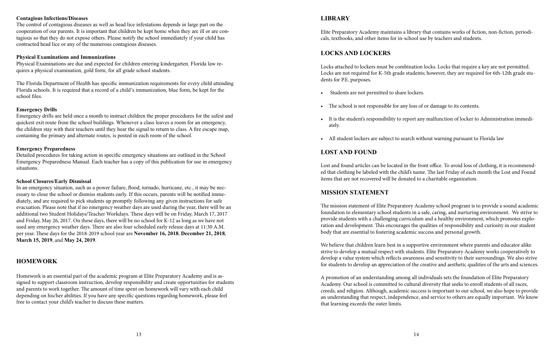#### **LIBRARY**

Elite Preparatory Academy maintains a library that contains works of fiction, non-fiction, periodicals, textbooks, and other items for in-school use by teachers and students.

#### **LOCKS AND LOCKERS**

Locks attached to lockers must be combination locks. Locks that require a key are not permitted. Locks are not required for K-5th grade students; however, they are required for 6th-12th grade students for P.E. purposes.

- Students are not permitted to share lockers.
- The school is not responsible for any loss of or damage to its contents.
- ately.
- 

• It is the student's responsibility to report any malfunction of locker to Administration immedi-

• All student lockers are subject to search without warning pursuant to Florida law

#### **LOST AND FOUND**

Lost and found articles can be located in the front office. To avoid loss of clothing, it is recommended that clothing be labeled with the child's name. The last Friday of each month the Lost and Found items that are not recovered will be donated to a charitable organization.

#### **MISSION STATEMENT**

The mission statement of Elite Preparatory Academy school program is to provide a sound academic foundation to elementary school students in a safe, caring, and nurturing environment. We strive to provide students with a challenging curriculum and a healthy environment, which promotes exploration and development. This encourages the qualities of responsibility and curiosity in our student body that are essential to fostering academic success and personal growth.

We believe that children learn best in a supportive environment where parents and educator alike strive to develop a mutual respect with students. Elite Preparatory Academy works cooperatively to develop a value system which reflects awareness and sensitivity to their surroundings. We also strive for students to develop an appreciation of the creative and aesthetic qualities of the arts and sciences.

A promotion of an understanding among all individuals sets the foundation of Elite Preparatory Academy. Our school is committed to cultural diversity that seeks to enroll students of all races, creeds, and religion. Although, academic success is important to our school, we also hope to provide an understanding that respect, independence, and service to others are equally important. We know that learning exceeds the outer limits.

#### **Contagious Infections/Diseases**

The control of contagious diseases as well as head lice infestations depends in large part on the cooperation of our parents. It is important that children be kept home when they are ill or are contagious so that they do not expose others. Please notify the school immediately if your child has contracted head lice or any of the numerous contagious diseases.

#### **Physical Examinations and Immunizations**

Physical Examinations are due and expected for children entering kindergarten. Florida law requires a physical examination, gold form, for all grade school students.

The Florida Department of Health has specific immunization requirements for every child attending Florida schools. It is required that a record of a child's immunization, blue form, be kept for the school files.

#### **Emergency Drills**

Emergency drills are held once a month to instruct children the proper procedures for the safest and quickest exit route from the school buildings. Whenever a class leaves a room for an emergency, the children stay with their teachers until they hear the signal to return to class. A fire escape map, containing the primary and alternate routes, is posted in each room of the school.

#### **Emergency Preparedness**

Detailed procedures for taking action in specific emergency situations are outlined in the School Emergency Preparedness Manual. Each teacher has a copy of this publication for use in emergency situations.

#### **School Closures/Early Dismissal**

In an emergency situation, such as a power failure, flood, tornado, hurricane, etc., it may be necessary to close the school or dismiss students early. If this occurs, parents will be notified immediately, and are required to pick students up promptly following any given instructions for safe evacuation. Please note that if no emergency weather days are used during the year, there will be an additional two Student Holidays/Teacher Workdays. These days will be on Friday, March 17, 2017 and Friday, May 26, 2017. On these days, there will be no school for K-12 as long as we have not used any emergency weather days. There are also four scheduled early release days at 11:30 A.M. per year. These days for the 2018-2019 school year are **November 16, 2018**, **December 21, 2018**, **March 15, 2019**, and **May 24, 2019**.

#### **HOMEWORK**

Homework is an essential part of the academic program at Elite Preparatory Academy and is assigned to support classroom instruction, develop responsibility and create opportunities for students and parents to work together. The amount of time spent on homework will vary with each child depending on his/her abilities. If you have any specific questions regarding homework, please feel free to contact your child's teacher to discuss these matters.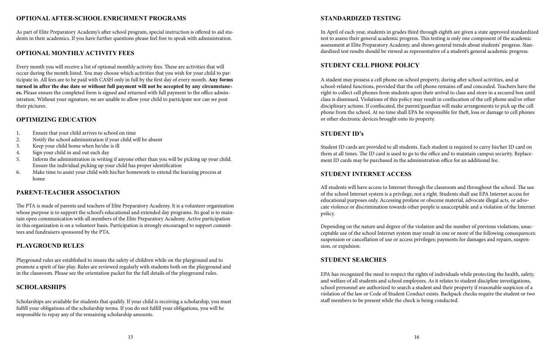### **OPTIONAL AFTER-SCHOOL ENRICHMENT PROGRAMS**

As part of Elite Preparatory Academy's after school program, special instruction is offered to aid students in their academics. If you have further questions please feel free to speak with administration.

#### **OPTIONAL MONTHLY ACTIVITY FEES**

Every month you will receive a list of optional monthly activity fees. These are activities that will occur during the month listed. You may choose which activities that you wish for your child to participate in. All fees are to be paid with CASH only in full by the first day of every month. **Any forms turned in after the due date or without full payment will not be accepted by any circumstances.** Please ensure the completed form is signed and returned with full payment to the office administration. Without your signature, we are unable to allow your child to participate nor can we post their pictures.

#### **OPTIMIZING EDUCATION**

- 1. Ensure that your child arrives to school on time
- 2. Notify the school administration if your child will be absent
- 3. Keep your child home when he/she is ill
- 4. Sign your child in and out each day
- 5. Inform the administration in writing if anyone other than you will be picking up your child. Ensure the individual picking up your child has proper identification
- 6. Make time to assist your child with his/her homework to extend the learning process at home

#### **PARENT-TEACHER ASSOCIATION**

The PTA is made of parents and teachers of Elite Preparatory Academy. It is a volunteer organization whose purpose is to support the school's educational and extended day programs. Its goal is to maintain open communication with all members of the Elite Preparatory Academy. Active participation in this organization is on a volunteer basis. Participation is strongly encouraged to support committees and fundraisers sponsored by the PTA.

#### **PLAYGROUND RULES**

Playground rules are established to insure the safety of children while on the playground and to promote a spirit of fair play. Rules are reviewed regularly with students both on the playground and in the classroom. Please see the orientation packet for the full details of the playground rules.

#### **SCHOLARSHIPS**

Scholarships are available for students that qualify. If your child is receiving a scholarship, you must fulfill your obligations of the scholarship terms. If you do not fulfill your obligations, you will be responsible to repay any of the remaining scholarship amounts.

#### **STANDARDIZED TESTING**

In April of each year, students in grades third through eighth are given a state approved standardized test to assess their general academic progress. This testing is only one component of the academic assessment at Elite Preparatory Academy, and shows general trends about students' progress. Standardized test results should be viewed as representative of a student's general academic progress.

#### **STUDENT CELL PHONE POLICY**

A student may possess a cell phone on school property, during after school activities, and at school-related functions, provided that the cell phone remains off and concealed. Teachers have the right to collect cell phones from students upon their arrival to class and store in a secured box until class is dismissed. Violations of this policy may result in confiscation of the cell phone and/or other disciplinary actions. If confiscated, the parent/guardian will make arrangements to pick up the cell phone from the school. At no time shall EPA be responsible for theft, loss or damage to cell phones or other electronic devices brought onto its property.

#### **STUDENT ID's**

Student ID cards are provided to all students. Each student is required to carry his/her ID card on them at all times. The ID card is used to go to the office and to maintain campus security. Replacement ID cards may be purchased in the administration office for an additional fee.

#### **STUDENT INTERNET ACCESS**

All students will have access to Internet through the classroom and throughout the school. The use of the school Internet system is a privilege, not a right. Students shall use EPA Internet access for educational purposes only. Accessing profane or obscene material, advocate illegal acts, or advocate violence or discrimination towards other people is unacceptable and a violation of the Internet policy.

Depending on the nature and degree of the violation and the number of previous violations, unacceptable use of the school Internet system may result in one or more of the following consequences: suspension or cancellation of use or access privileges; payments for damages and repairs, suspension, or expulsion.

#### **STUDENT SEARCHES**

EPA has recognized the need to respect the rights of individuals while protecting the health, safety, and welfare of all students and school employees. As it relates to student discipline investigations, school personnel are authorized to search a student and their property if reasonable suspicion of a violation of the law or Code of Student Conduct exists. Backpack checks require the student or two staff members to be present while the check is being conducted.